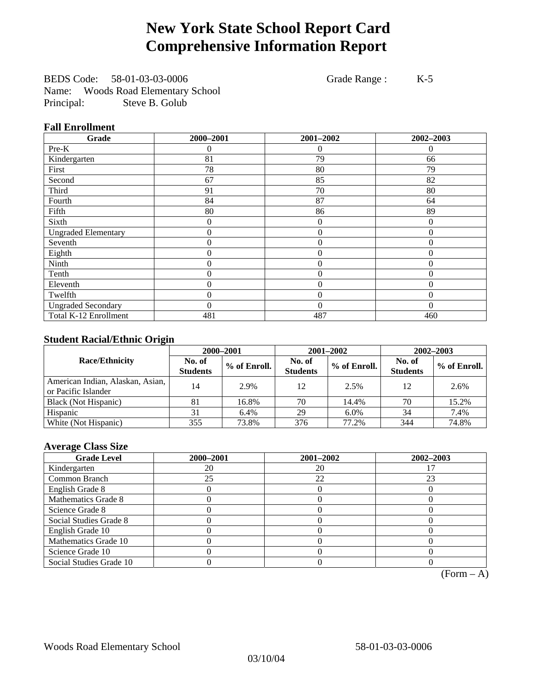# **New York State School Report Card Comprehensive Information Report**

BEDS Code: 58-01-03-03-0006 Grade Range : K-5 Name: Woods Road Elementary School Principal: Steve B. Golub

### **Fall Enrollment**

| Grade                      | 2000-2001        | 2001-2002        | 2002-2003 |
|----------------------------|------------------|------------------|-----------|
| Pre-K                      | 0                | $\Omega$         |           |
| Kindergarten               | 81               | 79               | 66        |
| First                      | 78               | 80               | 79        |
| Second                     | 67               | 85               | 82        |
| Third                      | 91               | 70               | 80        |
| Fourth                     | 84               | 87               | 64        |
| Fifth                      | 80               | 86               | 89        |
| Sixth                      | 0                | $\boldsymbol{0}$ | $\Omega$  |
| <b>Ungraded Elementary</b> | $\boldsymbol{0}$ | $\mathbf{0}$     | $\theta$  |
| Seventh                    | $\boldsymbol{0}$ | $\boldsymbol{0}$ | $\theta$  |
| Eighth                     | 0                | $\overline{0}$   | $\Omega$  |
| Ninth                      | 0                | $\overline{0}$   | $\theta$  |
| Tenth                      | 0                | $\overline{0}$   | $\theta$  |
| Eleventh                   | 0                | $\overline{0}$   | $\theta$  |
| Twelfth                    | $\boldsymbol{0}$ | $\mathbf{0}$     | $\Omega$  |
| <b>Ungraded Secondary</b>  | 0                | $\theta$         | $\theta$  |
| Total K-12 Enrollment      | 481              | 487              | 460       |

### **Student Racial/Ethnic Origin**

|                                                         | 2000-2001                 |              |                           | 2001-2002    | $2002 - 2003$             |                |
|---------------------------------------------------------|---------------------------|--------------|---------------------------|--------------|---------------------------|----------------|
| <b>Race/Ethnicity</b>                                   | No. of<br><b>Students</b> | % of Enroll. | No. of<br><b>Students</b> | % of Enroll. | No. of<br><b>Students</b> | $%$ of Enroll. |
| American Indian, Alaskan, Asian,<br>or Pacific Islander | 14                        | 2.9%         | 12                        | 2.5%         | 12                        | 2.6%           |
| Black (Not Hispanic)                                    | 81                        | 16.8%        | 70                        | 14.4%        | 70                        | 15.2%          |
| Hispanic                                                | 31                        | 6.4%         | 29                        | 6.0%         | 34                        | 7.4%           |
| White (Not Hispanic)                                    | 355                       | 73.8%        | 376                       | 77.2%        | 344                       | 74.8%          |

### **Average Class Size**

| <b>Grade Level</b>      | 2000-2001 | 2001-2002 | 2002-2003 |
|-------------------------|-----------|-----------|-----------|
| Kindergarten            | 20        | 20        |           |
| Common Branch           | 25        | 22        | 23        |
| English Grade 8         |           |           |           |
| Mathematics Grade 8     |           |           |           |
| Science Grade 8         |           |           |           |
| Social Studies Grade 8  |           |           |           |
| English Grade 10        |           |           |           |
| Mathematics Grade 10    |           |           |           |
| Science Grade 10        |           |           |           |
| Social Studies Grade 10 |           |           |           |

 $(Form - A)$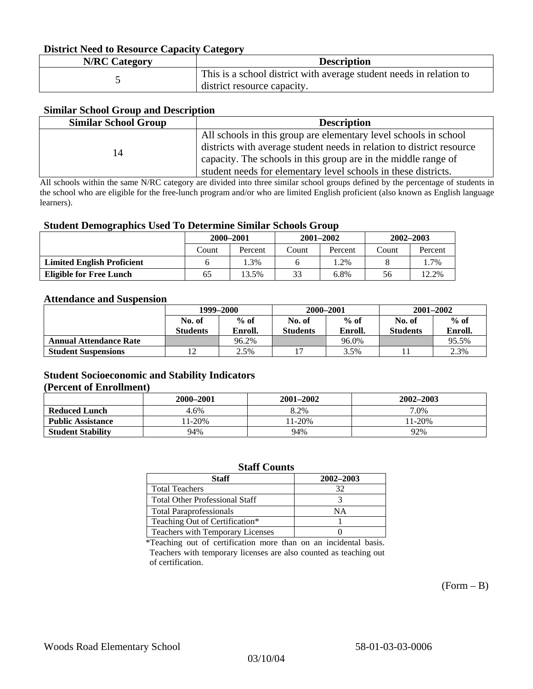### **District Need to Resource Capacity Category**

| <b>N/RC Category</b> | <b>Description</b>                                                                                 |
|----------------------|----------------------------------------------------------------------------------------------------|
|                      | This is a school district with average student needs in relation to<br>district resource capacity. |

### **Similar School Group and Description**

| <b>Similar School Group</b> | <b>Description</b>                                                    |
|-----------------------------|-----------------------------------------------------------------------|
|                             | All schools in this group are elementary level schools in school      |
| 14                          | districts with average student needs in relation to district resource |
|                             | capacity. The schools in this group are in the middle range of        |
|                             | student needs for elementary level schools in these districts.        |

All schools within the same N/RC category are divided into three similar school groups defined by the percentage of students in the school who are eligible for the free-lunch program and/or who are limited English proficient (also known as English language learners).

#### **Student Demographics Used To Determine Similar Schools Group**

|                                   | 2000-2001 |         | $2001 - 2002$ |         | $2002 - 2003$ |         |
|-----------------------------------|-----------|---------|---------------|---------|---------------|---------|
|                                   | Count     | Percent | Count         | Percent | Count         | Percent |
| <b>Limited English Proficient</b> |           | 1.3%    |               | .2%     |               | .7%     |
| Eligible for Free Lunch           | 65        | $3.5\%$ | 33            | 6.8%    | 56            | 12.2%   |

#### **Attendance and Suspension**

|                               | 1999–2000<br>$%$ of<br>No. of |         | 2000-2001       |         | $2001 - 2002$   |         |
|-------------------------------|-------------------------------|---------|-----------------|---------|-----------------|---------|
|                               |                               |         | No. of          | $%$ of  |                 | $%$ of  |
|                               | <b>Students</b>               | Enroll. | <b>Students</b> | Enroll. | <b>Students</b> | Enroll. |
| <b>Annual Attendance Rate</b> |                               | 96.2%   |                 | 96.0%   |                 | 95.5%   |
| <b>Student Suspensions</b>    |                               | 2.5%    |                 | 3.5%    |                 | 2.3%    |

### **Student Socioeconomic and Stability Indicators (Percent of Enrollment)**

|                          | 2000-2001 | $2001 - 2002$ | 2002-2003 |
|--------------------------|-----------|---------------|-----------|
| <b>Reduced Lunch</b>     | 4.6%      | 8.2%          | 7.0%      |
| <b>Public Assistance</b> | $1-20%$   | $1-20%$       | $11-20%$  |
| <b>Student Stability</b> | 94%       | 94%           | 92%       |

#### **Staff Counts**

| Staff                                 | 2002-2003 |
|---------------------------------------|-----------|
| <b>Total Teachers</b>                 | 32        |
| <b>Total Other Professional Staff</b> |           |
| <b>Total Paraprofessionals</b>        | NΑ        |
| Teaching Out of Certification*        |           |
| Teachers with Temporary Licenses      |           |

\*Teaching out of certification more than on an incidental basis. Teachers with temporary licenses are also counted as teaching out of certification.

 $(Form - B)$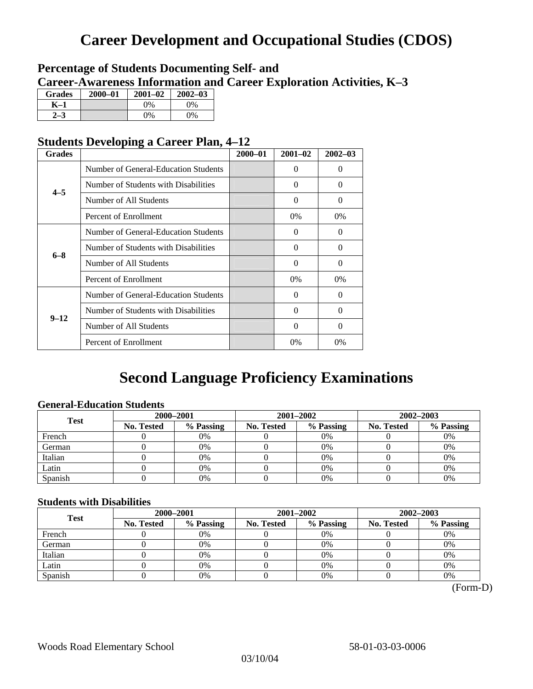# **Career Development and Occupational Studies (CDOS)**

### **Percentage of Students Documenting Self- and Career-Awareness Information and Career Exploration Activities, K–3**

| <b>Grades</b>  | 2000-01 | $2001 - 02$ | $2002 - 03$ |
|----------------|---------|-------------|-------------|
| K-1            |         | $0\%$       | 0%          |
| 2 <sub>2</sub> |         | $0\%$       | $0\%$       |

### **Students Developing a Career Plan, 4–12**

| <b>Grades</b> |                                      | $2000 - 01$ | $2001 - 02$ | $2002 - 03$ |
|---------------|--------------------------------------|-------------|-------------|-------------|
|               | Number of General-Education Students |             | $\Omega$    | 0           |
| $4 - 5$       | Number of Students with Disabilities |             | $\Omega$    | 0           |
|               | Number of All Students               |             | 0           | $\Omega$    |
|               | Percent of Enrollment                |             | $0\%$       | $0\%$       |
|               | Number of General-Education Students |             | $\Omega$    | 0           |
| $6 - 8$       | Number of Students with Disabilities |             | $\Omega$    | $\Omega$    |
|               | Number of All Students               |             | $\Omega$    | $\Omega$    |
|               | Percent of Enrollment                |             | $0\%$       | $0\%$       |
|               | Number of General-Education Students |             | $\Omega$    | 0           |
| $9 - 12$      | Number of Students with Disabilities |             | $\Omega$    | $\Omega$    |
|               | Number of All Students               |             | 0           | 0           |
|               | Percent of Enrollment                |             | 0%          | $0\%$       |

# **Second Language Proficiency Examinations**

### **General-Education Students**

| <b>Test</b> | 2000-2001         |           |            | 2001-2002 | $2002 - 2003$ |           |
|-------------|-------------------|-----------|------------|-----------|---------------|-----------|
|             | <b>No. Tested</b> | % Passing | No. Tested | % Passing | No. Tested    | % Passing |
| French      |                   | 0%        |            | $0\%$     |               | 0%        |
| German      |                   | 0%        |            | $0\%$     |               | 0%        |
| Italian     |                   | 0%        |            | 0%        |               | 0%        |
| Latin       |                   | 0%        |            | 0%        |               | 0%        |
| Spanish     |                   | 0%        |            | 0%        |               | 0%        |

### **Students with Disabilities**

| <b>Test</b> | 2000-2001  |           |            | 2001-2002 | 2002-2003  |           |  |
|-------------|------------|-----------|------------|-----------|------------|-----------|--|
|             | No. Tested | % Passing | No. Tested | % Passing | No. Tested | % Passing |  |
| French      |            | 0%        |            | 0%        |            | 0%        |  |
| German      |            | 0%        |            | $0\%$     |            | 0%        |  |
| Italian     |            | 0%        |            | 0%        |            | 0%        |  |
| Latin       |            | 0%        |            | 0%        |            | 0%        |  |
| Spanish     |            | 0%        |            | 0%        |            | 0%        |  |

(Form-D)